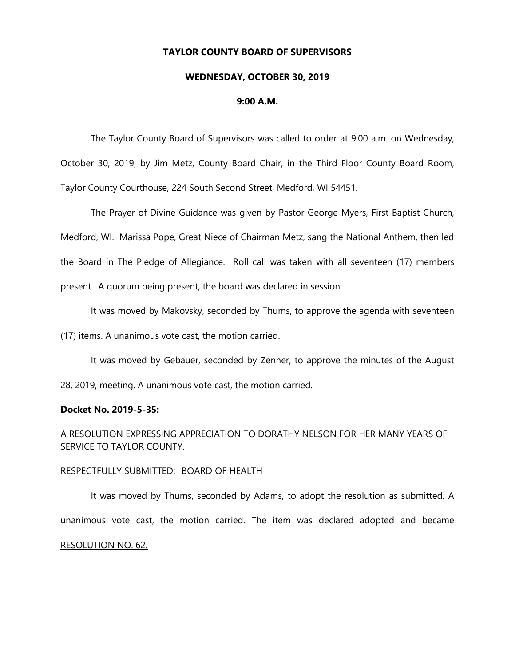# **TAYLOR COUNTY BOARD OF SUPERVISORS**

#### **WEDNESDAY, OCTOBER 30, 2019**

### **9:00 A.M.**

The Taylor County Board of Supervisors was called to order at 9:00 a.m. on Wednesday, October 30, 2019, by Jim Metz, County Board Chair, in the Third Floor County Board Room, Taylor County Courthouse, 224 South Second Street, Medford, WI 54451.

The Prayer of Divine Guidance was given by Pastor George Myers, First Baptist Church, Medford, WI. Marissa Pope, Great Niece of Chairman Metz, sang the National Anthem, then led the Board in The Pledge of Allegiance. Roll call was taken with all seventeen (17) members present. A quorum being present, the board was declared in session.

It was moved by Makovsky, seconded by Thums, to approve the agenda with seventeen

(17) items. A unanimous vote cast, the motion carried.

It was moved by Gebauer, seconded by Zenner, to approve the minutes of the August

28, 2019, meeting. A unanimous vote cast, the motion carried.

#### **Docket No. 2019-5-35:**

A RESOLUTION EXPRESSING APPRECIATION TO DORATHY NELSON FOR HER MANY YEARS OF SERVICE TO TAYLOR COUNTY.

### RESPECTFULLY SUBMITTED: BOARD OF HEALTH

It was moved by Thums, seconded by Adams, to adopt the resolution as submitted. A unanimous vote cast, the motion carried. The item was declared adopted and became RESOLUTION NO. 62.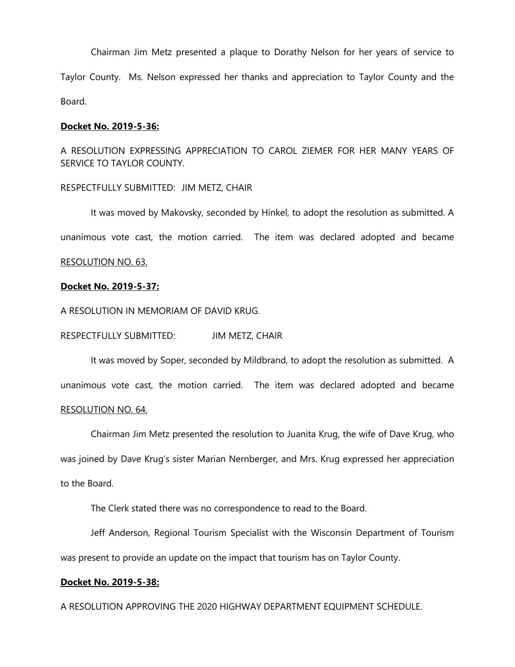Chairman Jim Metz presented a plaque to Dorathy Nelson for her years of service to Taylor County. Ms. Nelson expressed her thanks and appreciation to Taylor County and the Board.

# **Docket No. 2019-5-36:**

A RESOLUTION EXPRESSING APPRECIATION TO CAROL ZIEMER FOR HER MANY YEARS OF SERVICE TO TAYLOR COUNTY.

# RESPECTFULLY SUBMITTED: JIM METZ, CHAIR

It was moved by Makovsky, seconded by Hinkel, to adopt the resolution as submitted. A unanimous vote cast, the motion carried. The item was declared adopted and became

# RESOLUTION NO. 63.

# **Docket No. 2019-5-37:**

A RESOLUTION IN MEMORIAM OF DAVID KRUG.

RESPECTFULLY SUBMITTED: JIM METZ, CHAIR

It was moved by Soper, seconded by Mildbrand, to adopt the resolution as submitted. A unanimous vote cast, the motion carried. The item was declared adopted and became RESOLUTION NO. 64.

# Chairman Jim Metz presented the resolution to Juanita Krug, the wife of Dave Krug, who was joined by Dave Krug's sister Marian Nernberger, and Mrs. Krug expressed her appreciation to the Board.

The Clerk stated there was no correspondence to read to the Board.

Jeff Anderson, Regional Tourism Specialist with the Wisconsin Department of Tourism was present to provide an update on the impact that tourism has on Taylor County.

# **Docket No. 2019-5-38:**

A RESOLUTION APPROVING THE 2020 HIGHWAY DEPARTMENT EQUIPMENT SCHEDULE.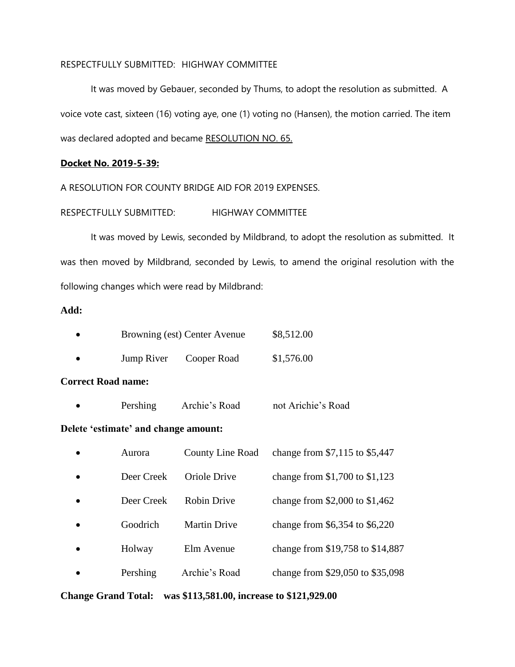# RESPECTFULLY SUBMITTED: HIGHWAY COMMITTEE

It was moved by Gebauer, seconded by Thums, to adopt the resolution as submitted. A voice vote cast, sixteen (16) voting aye, one (1) voting no (Hansen), the motion carried. The item was declared adopted and became RESOLUTION NO. 65.

# **Docket No. 2019-5-39:**

A RESOLUTION FOR COUNTY BRIDGE AID FOR 2019 EXPENSES.

RESPECTFULLY SUBMITTED: HIGHWAY COMMITTEE

It was moved by Lewis, seconded by Mildbrand, to adopt the resolution as submitted. It was then moved by Mildbrand, seconded by Lewis, to amend the original resolution with the following changes which were read by Mildbrand:

# **Add:**

|            | \$8,512.00<br>Browning (est) Center Avenue |            |  |
|------------|--------------------------------------------|------------|--|
| Jump River | Cooper Road                                | \$1,576.00 |  |

# **Correct Road name:**

| Pershing | Archie's Road | not Arichie's Road |
|----------|---------------|--------------------|
|          |               |                    |

# **Delete 'estimate' and change amount:**

|           | Aurora     | <b>County Line Road</b> | change from \$7,115 to \$5,447   |
|-----------|------------|-------------------------|----------------------------------|
|           | Deer Creek | Oriole Drive            | change from $$1,700$ to $$1,123$ |
| $\bullet$ | Deer Creek | <b>Robin Drive</b>      | change from \$2,000 to $$1,462$  |
|           | Goodrich   | <b>Martin Drive</b>     | change from \$6,354 to \$6,220   |
| $\bullet$ | Holway     | Elm Avenue              | change from \$19,758 to \$14,887 |
|           | Pershing   | Archie's Road           | change from \$29,050 to \$35,098 |

**Change Grand Total: was \$113,581.00, increase to \$121,929.00**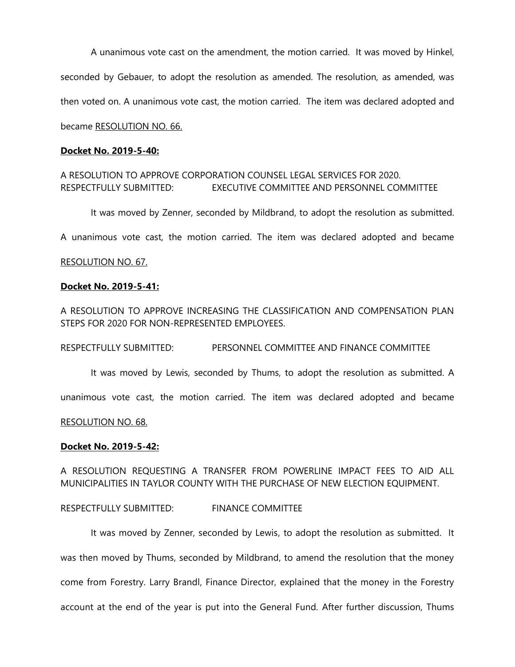A unanimous vote cast on the amendment, the motion carried. It was moved by Hinkel, seconded by Gebauer, to adopt the resolution as amended. The resolution, as amended, was then voted on. A unanimous vote cast, the motion carried. The item was declared adopted and became RESOLUTION NO. 66.

# **Docket No. 2019-5-40:**

# A RESOLUTION TO APPROVE CORPORATION COUNSEL LEGAL SERVICES FOR 2020. RESPECTFULLY SUBMITTED: EXECUTIVE COMMITTEE AND PERSONNEL COMMITTEE

It was moved by Zenner, seconded by Mildbrand, to adopt the resolution as submitted.

A unanimous vote cast, the motion carried. The item was declared adopted and became

### RESOLUTION NO. 67.

### **Docket No. 2019-5-41:**

A RESOLUTION TO APPROVE INCREASING THE CLASSIFICATION AND COMPENSATION PLAN STEPS FOR 2020 FOR NON-REPRESENTED EMPLOYEES.

RESPECTFULLY SUBMITTED: PERSONNEL COMMITTEE AND FINANCE COMMITTEE

It was moved by Lewis, seconded by Thums, to adopt the resolution as submitted. A

unanimous vote cast, the motion carried. The item was declared adopted and became

#### RESOLUTION NO. 68.

#### **Docket No. 2019-5-42:**

A RESOLUTION REQUESTING A TRANSFER FROM POWERLINE IMPACT FEES TO AID ALL MUNICIPALITIES IN TAYLOR COUNTY WITH THE PURCHASE OF NEW ELECTION EQUIPMENT.

RESPECTFULLY SUBMITTED: FINANCE COMMITTEE

It was moved by Zenner, seconded by Lewis, to adopt the resolution as submitted. It was then moved by Thums, seconded by Mildbrand, to amend the resolution that the money come from Forestry. Larry Brandl, Finance Director, explained that the money in the Forestry account at the end of the year is put into the General Fund. After further discussion, Thums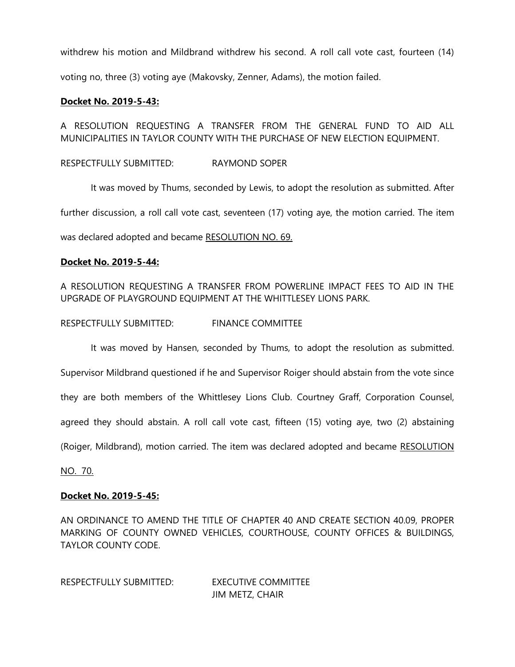withdrew his motion and Mildbrand withdrew his second. A roll call vote cast, fourteen (14) voting no, three (3) voting aye (Makovsky, Zenner, Adams), the motion failed.

# **Docket No. 2019-5-43:**

A RESOLUTION REQUESTING A TRANSFER FROM THE GENERAL FUND TO AID ALL MUNICIPALITIES IN TAYLOR COUNTY WITH THE PURCHASE OF NEW ELECTION EQUIPMENT.

RESPECTFULLY SUBMITTED: RAYMOND SOPER

It was moved by Thums, seconded by Lewis, to adopt the resolution as submitted. After further discussion, a roll call vote cast, seventeen (17) voting aye, the motion carried. The item

was declared adopted and became RESOLUTION NO. 69.

# **Docket No. 2019-5-44:**

A RESOLUTION REQUESTING A TRANSFER FROM POWERLINE IMPACT FEES TO AID IN THE UPGRADE OF PLAYGROUND EQUIPMENT AT THE WHITTLESEY LIONS PARK.

RESPECTFULLY SUBMITTED: FINANCE COMMITTEE

It was moved by Hansen, seconded by Thums, to adopt the resolution as submitted.

Supervisor Mildbrand questioned if he and Supervisor Roiger should abstain from the vote since

they are both members of the Whittlesey Lions Club. Courtney Graff, Corporation Counsel,

agreed they should abstain. A roll call vote cast, fifteen (15) voting aye, two (2) abstaining

(Roiger, Mildbrand), motion carried. The item was declared adopted and became RESOLUTION

NO. 70.

# **Docket No. 2019-5-45:**

AN ORDINANCE TO AMEND THE TITLE OF CHAPTER 40 AND CREATE SECTION 40.09, PROPER MARKING OF COUNTY OWNED VEHICLES, COURTHOUSE, COUNTY OFFICES & BUILDINGS, TAYLOR COUNTY CODE.

RESPECTFULLY SUBMITTED: EXECUTIVE COMMITTEE JIM METZ, CHAIR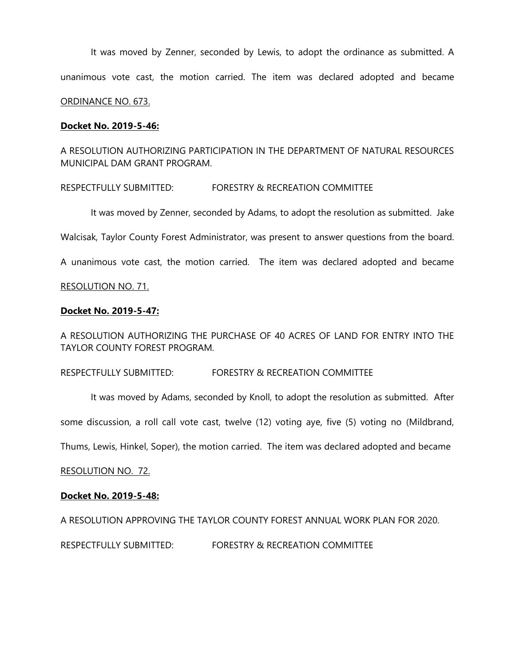It was moved by Zenner, seconded by Lewis, to adopt the ordinance as submitted. A unanimous vote cast, the motion carried. The item was declared adopted and became ORDINANCE NO. 673.

# **Docket No. 2019-5-46:**

# A RESOLUTION AUTHORIZING PARTICIPATION IN THE DEPARTMENT OF NATURAL RESOURCES MUNICIPAL DAM GRANT PROGRAM.

# RESPECTFULLY SUBMITTED: FORESTRY & RECREATION COMMITTEE

It was moved by Zenner, seconded by Adams, to adopt the resolution as submitted. Jake

Walcisak, Taylor County Forest Administrator, was present to answer questions from the board.

A unanimous vote cast, the motion carried. The item was declared adopted and became

# RESOLUTION NO. 71.

# **Docket No. 2019-5-47:**

A RESOLUTION AUTHORIZING THE PURCHASE OF 40 ACRES OF LAND FOR ENTRY INTO THE TAYLOR COUNTY FOREST PROGRAM.

RESPECTFULLY SUBMITTED: FORESTRY & RECREATION COMMITTEE

It was moved by Adams, seconded by Knoll, to adopt the resolution as submitted. After some discussion, a roll call vote cast, twelve (12) voting aye, five (5) voting no (Mildbrand,

Thums, Lewis, Hinkel, Soper), the motion carried. The item was declared adopted and became

RESOLUTION NO. 72.

# **Docket No. 2019-5-48:**

A RESOLUTION APPROVING THE TAYLOR COUNTY FOREST ANNUAL WORK PLAN FOR 2020.

RESPECTFULLY SUBMITTED: FORESTRY & RECREATION COMMITTEE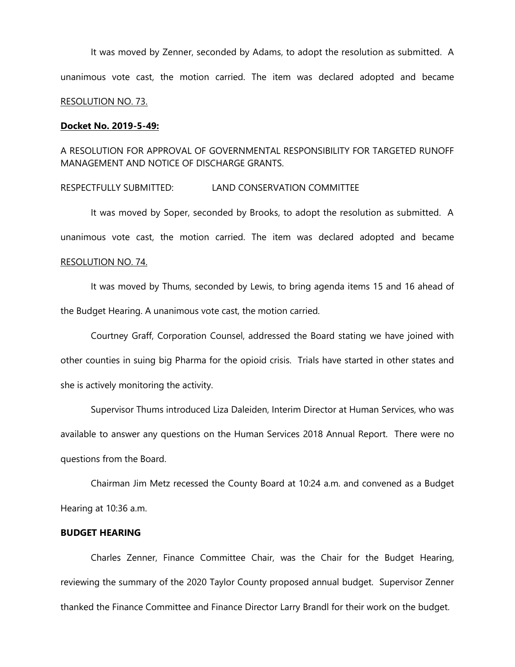It was moved by Zenner, seconded by Adams, to adopt the resolution as submitted. A unanimous vote cast, the motion carried. The item was declared adopted and became RESOLUTION NO. 73.

#### **Docket No. 2019-5-49:**

A RESOLUTION FOR APPROVAL OF GOVERNMENTAL RESPONSIBILITY FOR TARGETED RUNOFF MANAGEMENT AND NOTICE OF DISCHARGE GRANTS.

#### RESPECTFULLY SUBMITTED: LAND CONSERVATION COMMITTEE

It was moved by Soper, seconded by Brooks, to adopt the resolution as submitted. A unanimous vote cast, the motion carried. The item was declared adopted and became

# RESOLUTION NO. 74.

It was moved by Thums, seconded by Lewis, to bring agenda items 15 and 16 ahead of the Budget Hearing. A unanimous vote cast, the motion carried.

Courtney Graff, Corporation Counsel, addressed the Board stating we have joined with other counties in suing big Pharma for the opioid crisis. Trials have started in other states and she is actively monitoring the activity.

Supervisor Thums introduced Liza Daleiden, Interim Director at Human Services, who was available to answer any questions on the Human Services 2018 Annual Report. There were no questions from the Board.

Chairman Jim Metz recessed the County Board at 10:24 a.m. and convened as a Budget Hearing at 10:36 a.m.

# **BUDGET HEARING**

Charles Zenner, Finance Committee Chair, was the Chair for the Budget Hearing, reviewing the summary of the 2020 Taylor County proposed annual budget. Supervisor Zenner thanked the Finance Committee and Finance Director Larry Brandl for their work on the budget.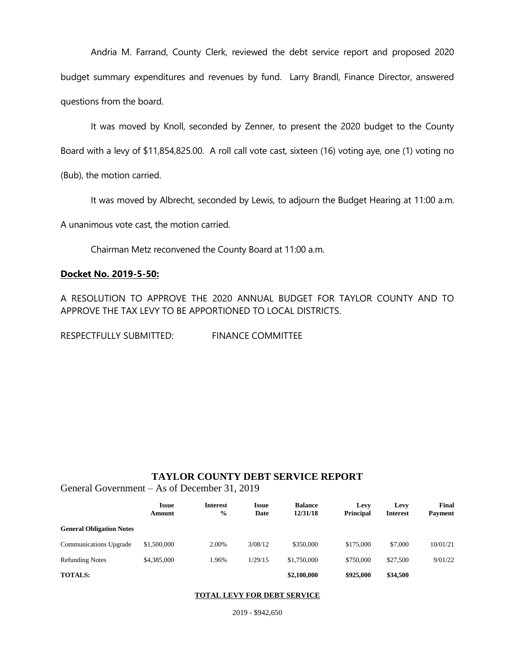Andria M. Farrand, County Clerk, reviewed the debt service report and proposed 2020 budget summary expenditures and revenues by fund. Larry Brandl, Finance Director, answered questions from the board.

It was moved by Knoll, seconded by Zenner, to present the 2020 budget to the County Board with a levy of \$11,854,825.00. A roll call vote cast, sixteen (16) voting aye, one (1) voting no

(Bub), the motion carried.

It was moved by Albrecht, seconded by Lewis, to adjourn the Budget Hearing at 11:00 a.m.

A unanimous vote cast, the motion carried.

Chairman Metz reconvened the County Board at 11:00 a.m.

# **Docket No. 2019-5-50:**

A RESOLUTION TO APPROVE THE 2020 ANNUAL BUDGET FOR TAYLOR COUNTY AND TO APPROVE THE TAX LEVY TO BE APPORTIONED TO LOCAL DISTRICTS.

RESPECTFULLY SUBMITTED: FINANCE COMMITTEE

# **TAYLOR COUNTY DEBT SERVICE REPORT**

General Government – As of December 31, 2019

|                                 | <b>Issue</b><br>Amount | <b>Interest</b><br>$\frac{0}{0}$ | <b>Issue</b><br>Date | <b>Balance</b><br>12/31/18 | Levy<br><b>Principal</b> | Levy<br><b>Interest</b> | Final<br><b>Payment</b> |
|---------------------------------|------------------------|----------------------------------|----------------------|----------------------------|--------------------------|-------------------------|-------------------------|
| <b>General Obligation Notes</b> |                        |                                  |                      |                            |                          |                         |                         |
| <b>Communications Upgrade</b>   | \$1,500,000            | 2.00%                            | 3/08/12              | \$350,000                  | \$175,000                | \$7,000                 | 10/01/21                |
| <b>Refunding Notes</b>          | \$4,385,000            | .96%                             | 1/29/15              | \$1,750,000                | \$750,000                | \$27,500                | 9/01/22                 |
| <b>TOTALS:</b>                  |                        |                                  |                      | \$2,100,000                | \$925,000                | \$34,500                |                         |

#### **TOTAL LEVY FOR DEBT SERVICE**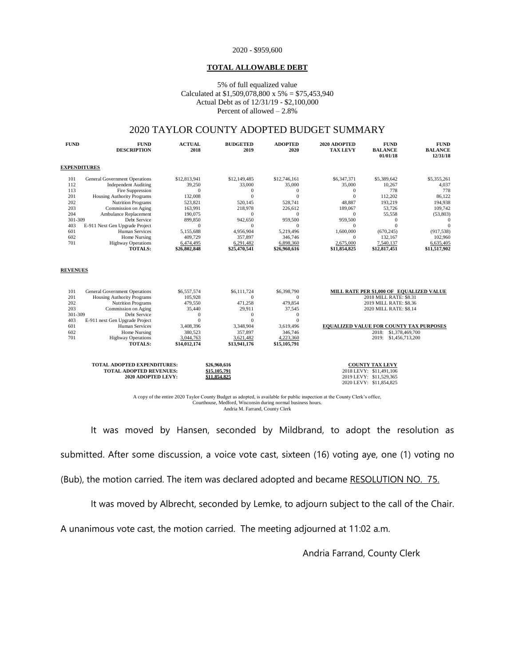#### 2020 - \$959,600

#### **TOTAL ALLOWABLE DEBT**

#### 5% of full equalized value Calculated at \$1,509,078,800 x 5% = \$75,453,940 Actual Debt as of 12/31/19 - \$2,100,000 Percent of allowed – 2.8%

# 2020 TAYLOR COUNTY ADOPTED BUDGET SUMMARY

| <b>FUND</b>     | <b>FUND</b><br><b>DESCRIPTION</b>                | <b>ACTUAL</b><br>2018     | <b>BUDGETED</b><br>2019   | <b>ADOPTED</b><br>2020    | 2020 ADOPTED<br><b>TAX LEVY</b> | <b>FUND</b><br><b>BALANCE</b><br>01/01/18      | <b>FUND</b><br><b>BALANCE</b><br>12/31/18 |
|-----------------|--------------------------------------------------|---------------------------|---------------------------|---------------------------|---------------------------------|------------------------------------------------|-------------------------------------------|
|                 | <b>EXPENDITURES</b>                              |                           |                           |                           |                                 |                                                |                                           |
| 101             | <b>General Government Operations</b>             | \$12,813,941              | \$12,149,485              | \$12,746,161              | \$6,347,371                     | \$5,389,642                                    | \$5,355,261                               |
| 112             | <b>Independent Auditing</b>                      | 39,250                    | 33,000                    | 35,000                    | 35,000                          | 10,267                                         | 4,037                                     |
| 113             | Fire Suppression                                 | $\mathbf{0}$              | $\theta$                  | $\mathbf{0}$              | $\mathbf{0}$                    | 778                                            | 778                                       |
| 201             | <b>Housing Authority Programs</b>                | 132,008                   | $\theta$                  | $\Omega$                  | $\overline{0}$                  | 112,202                                        | 86,122                                    |
| 202             | <b>Nutrition Programs</b>                        | 523,821                   | 520,145                   | 528,741                   | 48,887                          | 193,219                                        | 194,938                                   |
| 203             | Commission on Aging                              | 163,991                   | 218,978                   | 226,612                   | 189,067                         | 53,726                                         | 109,742                                   |
| 204             | Ambulance Replacement                            | 190,075                   | $\theta$                  | $\Omega$                  | $\mathbf{0}$                    | 55,558                                         | (53,803)                                  |
| 301-309         | Debt Service                                     | 899,850                   | 942,650                   | 959,500                   | 959,500                         | $\mathbf{0}$                                   | $\Omega$                                  |
| 403             | E-911 Next Gen Upgrade Project                   | $\mathbf{0}$              | $\Omega$                  | $\mathbf{0}$              | $\mathbf{0}$                    | $\theta$                                       | $\Omega$                                  |
| 601             | <b>Human Services</b>                            | 5,155,688                 | 4,956,904                 | 5,219,496                 | 1,600,000                       | (670, 245)                                     | (917, 538)                                |
| 602             | Home Nursing                                     | 409,729                   | 357,897                   | 346,746                   | $\mathbf{0}$                    | 132,167                                        | 102,960                                   |
| 701             | <b>Highway Operations</b><br><b>TOTALS:</b>      | 6,474,495<br>\$26,802,848 | 6,291,482<br>\$25,470,541 | 6,898,360<br>\$26,960,616 | 2,675,000<br>\$11,854,825       | 7,540,137<br>\$12,817,451                      | 6,635,405<br>\$11,517,902                 |
| <b>REVENUES</b> |                                                  |                           |                           |                           |                                 |                                                |                                           |
|                 |                                                  |                           |                           |                           |                                 |                                                |                                           |
| 101             | <b>General Government Operations</b>             | \$6,557,574               | \$6,111,724               | \$6,398,790               |                                 | MILL RATE PER \$1,000 OF EQUALIZED VALUE       |                                           |
| 201             | <b>Housing Authority Programs</b>                | 105,928                   | $\Omega$                  | $\mathbf{0}$              | 2018 MILL RATE: \$8.31          |                                                |                                           |
| 202<br>203      | <b>Nutrition Programs</b><br>Commission on Aging | 479,550                   | 471,258<br>29,911         | 479,854<br>37,545         | 2019 MILL RATE: \$8.36          |                                                |                                           |
| 301-309         | Debt Service                                     | 35,440<br>$\overline{0}$  | $\overline{0}$            | $\Omega$                  |                                 | 2020 MILL RATE: \$8.14                         |                                           |
| 403             | E-911 next Gen Upgrade Project                   | $\theta$                  | $\Omega$                  | $\Omega$                  |                                 |                                                |                                           |
| 601             | <b>Human Services</b>                            | 3,408,396                 | 3,348,904                 | 3,619,496                 |                                 | <b>EQUALIZED VALUE FOR COUNTY TAX PURPOSES</b> |                                           |
| 602             | Home Nursing                                     | 380,523                   | 357,897                   | 346,746                   |                                 | \$1,378,469,700<br>2018:                       |                                           |
| 701             | <b>Highway Operations</b>                        | 3,044,763                 | 3,621,482                 | 4,223,360                 |                                 | 2019: \$1,456,713,200                          |                                           |
|                 | <b>TOTALS:</b>                                   | \$14,012,174              | \$13,941,176              | \$15,105,791              |                                 |                                                |                                           |
|                 |                                                  |                           |                           |                           |                                 |                                                |                                           |
|                 | TOTAL ADOPTED EXPENDITURES:                      |                           | \$26,960,616              |                           |                                 | <b>COUNTY TAX LEVY</b>                         |                                           |
|                 | <b>TOTAL ADOPTED REVENUES:</b>                   |                           | \$15,105,791              |                           |                                 | 2018 LEVY: \$11,491,106                        |                                           |
|                 | 2020 ADOPTED LEVY:                               |                           | \$11.854.825              |                           |                                 | 2019 LEVY: \$11,529,365                        |                                           |
|                 |                                                  |                           |                           |                           |                                 | 2020 LEVY: \$11,854,825                        |                                           |

A copy of the entire 2020 Taylor County Budget as adopted, is available for public inspection at the County Clerk's office, Courthouse, Medford, Wisconsin during normal business hours. Andria M. Farrand, County Clerk

It was moved by Hansen, seconded by Mildbrand, to adopt the resolution as submitted. After some discussion, a voice vote cast, sixteen (16) voting aye, one (1) voting no (Bub), the motion carried. The item was declared adopted and became RESOLUTION NO. 75.

It was moved by Albrecht, seconded by Lemke, to adjourn subject to the call of the Chair.

A unanimous vote cast, the motion carried. The meeting adjourned at 11:02 a.m.

Andria Farrand, County Clerk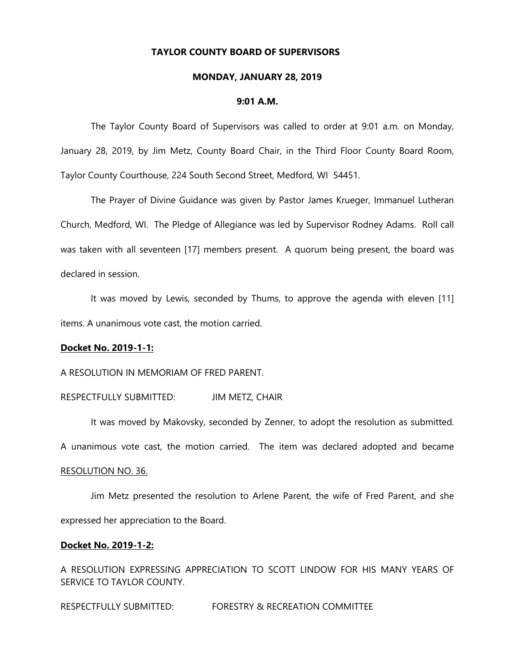#### **TAYLOR COUNTY BOARD OF SUPERVISORS**

#### **MONDAY, JANUARY 28, 2019**

#### **9:01 A.M.**

The Taylor County Board of Supervisors was called to order at 9:01 a.m. on Monday, January 28, 2019, by Jim Metz, County Board Chair, in the Third Floor County Board Room, Taylor County Courthouse, 224 South Second Street, Medford, WI 54451.

The Prayer of Divine Guidance was given by Pastor James Krueger, Immanuel Lutheran Church, Medford, WI. The Pledge of Allegiance was led by Supervisor Rodney Adams. Roll call was taken with all seventeen [17] members present. A quorum being present, the board was declared in session.

It was moved by Lewis, seconded by Thums, to approve the agenda with eleven [11] items. A unanimous vote cast, the motion carried.

# **Docket No. 2019-1-1:**

A RESOLUTION IN MEMORIAM OF FRED PARENT.

RESPECTFULLY SUBMITTED: JIM METZ, CHAIR

It was moved by Makovsky, seconded by Zenner, to adopt the resolution as submitted.

A unanimous vote cast, the motion carried. The item was declared adopted and became

#### RESOLUTION NO. 36.

Jim Metz presented the resolution to Arlene Parent, the wife of Fred Parent, and she expressed her appreciation to the Board.

#### **Docket No. 2019-1-2:**

A RESOLUTION EXPRESSING APPRECIATION TO SCOTT LINDOW FOR HIS MANY YEARS OF SERVICE TO TAYLOR COUNTY.

RESPECTFULLY SUBMITTED: FORESTRY & RECREATION COMMITTEE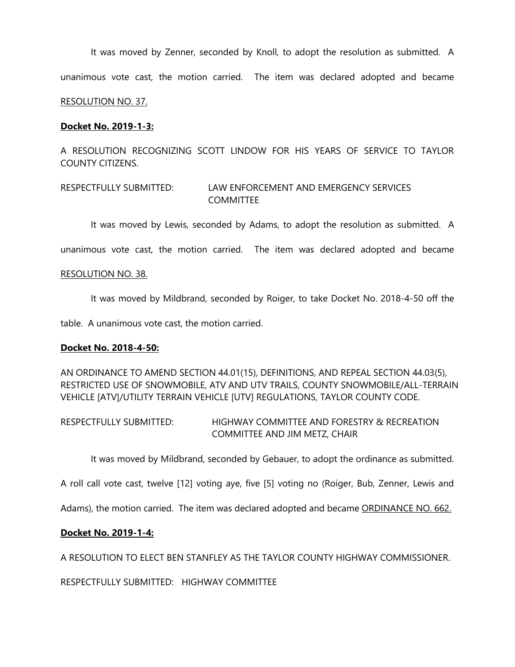It was moved by Zenner, seconded by Knoll, to adopt the resolution as submitted. A

unanimous vote cast, the motion carried. The item was declared adopted and became

# RESOLUTION NO. 37.

### **Docket No. 2019-1-3:**

A RESOLUTION RECOGNIZING SCOTT LINDOW FOR HIS YEARS OF SERVICE TO TAYLOR COUNTY CITIZENS.

# RESPECTFULLY SUBMITTED: LAW ENFORCEMENT AND EMERGENCY SERVICES **COMMITTEE**

It was moved by Lewis, seconded by Adams, to adopt the resolution as submitted. A

unanimous vote cast, the motion carried. The item was declared adopted and became

#### RESOLUTION NO. 38.

It was moved by Mildbrand, seconded by Roiger, to take Docket No. 2018-4-50 off the

table. A unanimous vote cast, the motion carried.

#### **Docket No. 2018-4-50:**

AN ORDINANCE TO AMEND SECTION 44.01(15), DEFINITIONS, AND REPEAL SECTION 44.03(5), RESTRICTED USE OF SNOWMOBILE, ATV AND UTV TRAILS, COUNTY SNOWMOBILE/ALL-TERRAIN VEHICLE [ATV]/UTILITY TERRAIN VEHICLE [UTV] REGULATIONS, TAYLOR COUNTY CODE.

RESPECTFULLY SUBMITTED: HIGHWAY COMMITTEE AND FORESTRY & RECREATION COMMITTEE AND JIM METZ, CHAIR

It was moved by Mildbrand, seconded by Gebauer, to adopt the ordinance as submitted.

A roll call vote cast, twelve [12] voting aye, five [5] voting no (Roiger, Bub, Zenner, Lewis and

Adams), the motion carried. The item was declared adopted and became ORDINANCE NO. 662.

# **Docket No. 2019-1-4:**

A RESOLUTION TO ELECT BEN STANFLEY AS THE TAYLOR COUNTY HIGHWAY COMMISSIONER.

RESPECTFULLY SUBMITTED: HIGHWAY COMMITTEE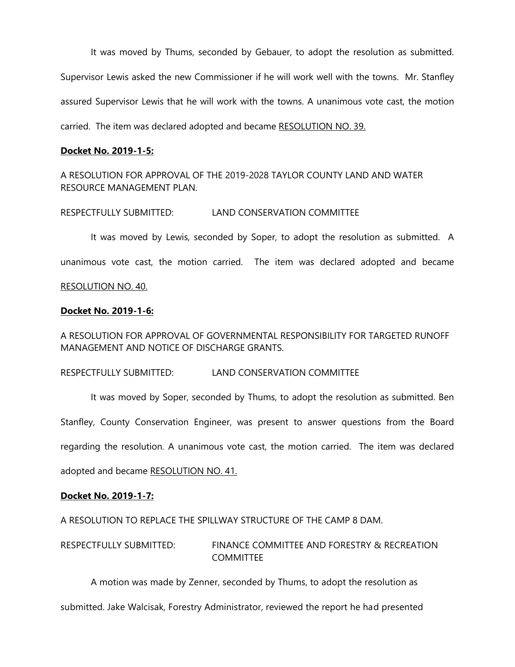It was moved by Thums, seconded by Gebauer, to adopt the resolution as submitted. Supervisor Lewis asked the new Commissioner if he will work well with the towns. Mr. Stanfley assured Supervisor Lewis that he will work with the towns. A unanimous vote cast, the motion carried. The item was declared adopted and became RESOLUTION NO. 39.

# **Docket No. 2019-1-5:**

A RESOLUTION FOR APPROVAL OF THE 2019-2028 TAYLOR COUNTY LAND AND WATER RESOURCE MANAGEMENT PLAN.

RESPECTFULLY SUBMITTED: LAND CONSERVATION COMMITTEE

It was moved by Lewis, seconded by Soper, to adopt the resolution as submitted. A unanimous vote cast, the motion carried. The item was declared adopted and became RESOLUTION NO. 40.

# **Docket No. 2019-1-6:**

A RESOLUTION FOR APPROVAL OF GOVERNMENTAL RESPONSIBILITY FOR TARGETED RUNOFF MANAGEMENT AND NOTICE OF DISCHARGE GRANTS.

RESPECTFULLY SUBMITTED: LAND CONSERVATION COMMITTEE

It was moved by Soper, seconded by Thums, to adopt the resolution as submitted. Ben Stanfley, County Conservation Engineer, was present to answer questions from the Board regarding the resolution. A unanimous vote cast, the motion carried. The item was declared adopted and became RESOLUTION NO. 41.

# **Docket No. 2019-1-7:**

A RESOLUTION TO REPLACE THE SPILLWAY STRUCTURE OF THE CAMP 8 DAM.

RESPECTFULLY SUBMITTED: FINANCE COMMITTEE AND FORESTRY & RECREATION **COMMITTEE** 

A motion was made by Zenner, seconded by Thums, to adopt the resolution as

submitted. Jake Walcisak, Forestry Administrator, reviewed the report he had presented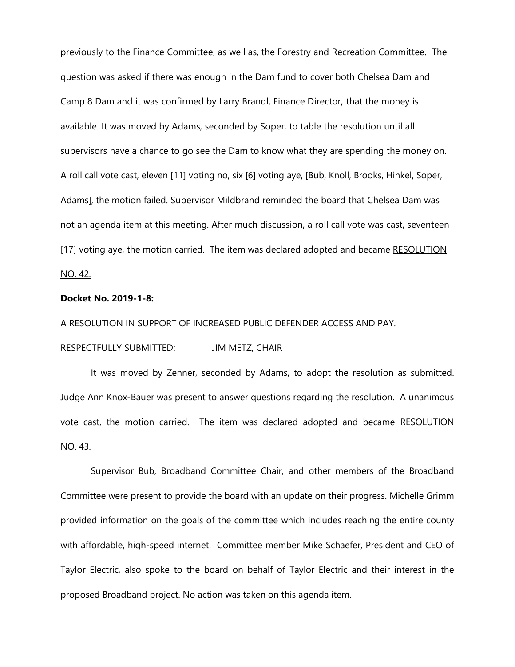previously to the Finance Committee, as well as, the Forestry and Recreation Committee. The question was asked if there was enough in the Dam fund to cover both Chelsea Dam and Camp 8 Dam and it was confirmed by Larry Brandl, Finance Director, that the money is available. It was moved by Adams, seconded by Soper, to table the resolution until all supervisors have a chance to go see the Dam to know what they are spending the money on. A roll call vote cast, eleven [11] voting no, six [6] voting aye, [Bub, Knoll, Brooks, Hinkel, Soper, Adams], the motion failed. Supervisor Mildbrand reminded the board that Chelsea Dam was not an agenda item at this meeting. After much discussion, a roll call vote was cast, seventeen [17] voting aye, the motion carried. The item was declared adopted and became RESOLUTION NO. 42.

#### **Docket No. 2019-1-8:**

A RESOLUTION IN SUPPORT OF INCREASED PUBLIC DEFENDER ACCESS AND PAY.

RESPECTFULLY SUBMITTED: JIM METZ, CHAIR

It was moved by Zenner, seconded by Adams, to adopt the resolution as submitted. Judge Ann Knox-Bauer was present to answer questions regarding the resolution. A unanimous vote cast, the motion carried. The item was declared adopted and became RESOLUTION NO. 43.

Supervisor Bub, Broadband Committee Chair, and other members of the Broadband Committee were present to provide the board with an update on their progress. Michelle Grimm provided information on the goals of the committee which includes reaching the entire county with affordable, high-speed internet. Committee member Mike Schaefer, President and CEO of Taylor Electric, also spoke to the board on behalf of Taylor Electric and their interest in the proposed Broadband project. No action was taken on this agenda item.